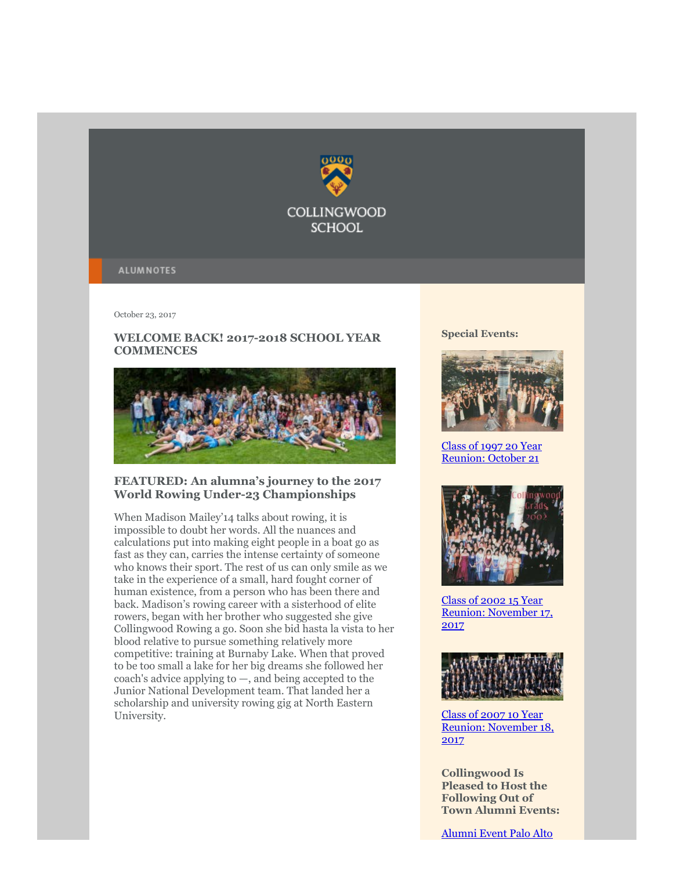

#### **ALUMNOTES**

October 23, 2017

# WELCOME BACK! 2017-2018 SCHOOL YEAR **COMMENCES**



## **FEATURED: An alumna's journey to the 2017 World Rowing Under-23 Championships**

When Madison Mailey'14 talks about rowing, it is impossible to doubt her words. All the nuances and calculations put into making eight people in a boat go as fast as they can, carries the intense certainty of someone who knows their sport. The rest of us can only smile as we take in the experience of a small, hard fought corner of human existence, from a person who has been there and back. Madison's rowing career with a sisterhood of elite rowers, began with her brother who suggested she give Collingwood Rowing a go. Soon she bid hasta la vista to her blood relative to pursue something relatively more competitive: training at Burnaby Lake. When that proved to be too small a lake for her big dreams she followed her coach's advice applying to —, and being accepted to the Junior National Development team. That landed her a scholarship and university rowing gig at North Eastern University.

**Special Events:**



[Class of 1997 20 Year](https://webmail.exchange.telus.com/owa/redir.aspx?C=WdNIDhV-S5VFwqECcJ4TLmnoQqFxBEmGFO20snC5QZ3rODaDWEDVCA..&URL=https%3a%2f%2fbbox.blackbaudhosting.com%2fwebforms%2fservice%2fpage.redir%3ftarget%3dhttps%253a%252f%252fwww.collingwood.org%252fforms%252fevent-forms%252f20-year-reunion%253fbblinkid%253d62908493%2526bbemailid%253d5179258%2526bbejrid%253d388961848%26srcid%3d6127151%26srctid%3d1%26erid%3d467772454%26trid%3d76d3b6f6-c3f1-441e-a113-3af260cbeeee) Reunion: October 21



Class of 2002 15 Year [Reunion: November 17,](https://webmail.exchange.telus.com/owa/redir.aspx?C=6cDM_6v_M5Tt8yjN7RskoFdo51EfKkltZlTZDpBp-eHrODaDWEDVCA..&URL=https%3a%2f%2fbbox.blackbaudhosting.com%2fwebforms%2fservice%2fpage.redir%3ftarget%3dhttps%253a%252f%252fwww.collingwood.org%252falumni%252fupcoming-events%252fclass-of-2002%253fbblinkid%253d64384765%2526bbemailid%253d5179258%2526bbejrid%253d398138247%26srcid%3d6127151%26srctid%3d1%26erid%3d467772454%26trid%3d76d3b6f6-c3f1-441e-a113-3af260cbeeee) 2017



Class of 2007 10 Year [Reunion: November 18,](https://webmail.exchange.telus.com/owa/redir.aspx?C=SuGpG1RGgSWIqHGnn_XwCA-u-R2LAuu92Ir18GnJfbTrODaDWEDVCA..&URL=https%3a%2f%2fbbox.blackbaudhosting.com%2fwebforms%2flinkredirect%3furl%3dhttps%253a%252f%252fwww.collingwood.org%252falumni%252fupcoming-events%252fclass-of-2007%26srcid%3d6127147%26srctid%3d1%26erid%3d467772454%26trid%3d76d3b6f6-c3f1-441e-a113-3af260cbeeee%26linkid%3d72692140%26isbbox%3d1) 2017

**Collingwood Is Pleased to Host the Following Out of Town Alumni Events:**

[Alumni Event Palo Alto](https://webmail.exchange.telus.com/owa/redir.aspx?C=EzAVCtvM1dP4WhNTfJWyO0wg5wbNFdR2ZkgMnnzA78LrODaDWEDVCA..&URL=https%3a%2f%2fbbox.blackbaudhosting.com%2fwebforms%2flinkredirect%3furl%3dhttps%253a%252f%252fwww.collingwood.org%252falumni%252fupcoming-events%252fcalifornia%26srcid%3d6127147%26srctid%3d1%26erid%3d467772454%26trid%3d76d3b6f6-c3f1-441e-a113-3af260cbeeee%26linkid%3d72692141%26isbbox%3d1)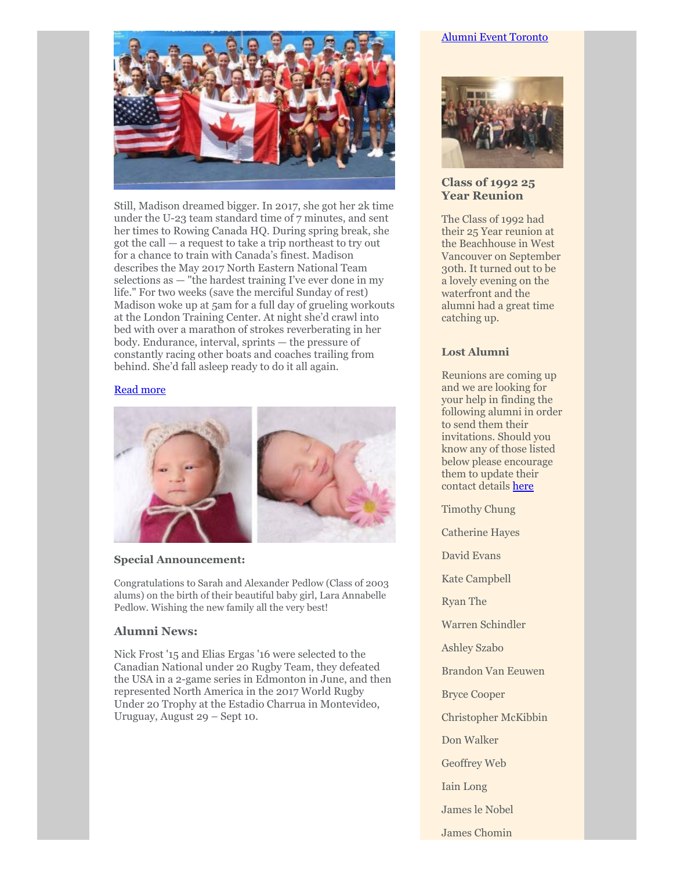

Still, Madison dreamed bigger. In 2017, she got her 2k time under the U-23 team standard time of 7 minutes, and sent her times to Rowing Canada HQ. During spring break, she got the call — a request to take a trip northeast to try out for a chance to train with Canada's finest. Madison describes the May 2017 North Eastern National Team selections as — "the hardest training I've ever done in my life." For two weeks (save the merciful Sunday of rest) Madison woke up at 5am for a full day of grueling workouts at the London Training Center. At night she'd crawl into bed with over a marathon of strokes reverberating in her body. Endurance, interval, sprints — the pressure of constantly racing other boats and coaches trailing from behind. She'd fall asleep ready to do it all again.

#### [Read more](https://www.collingwood.org/alumni/alumnotes/articles/madison-mailey)



## **Special Announcement:**

Congratulations to Sarah and Alexander Pedlow (Class of 2003 alums) on the birth of their beautiful baby girl, Lara Annabelle Pedlow. Wishing the new family all the very best!

# **Alumni News:**

Nick Frost '15 and Elias Ergas '16 were selected to the Canadian National under 20 Rugby Team, they defeated the USA in a 2-game series in Edmonton in June, and then represented North America in the 2017 World Rugby Under 20 Trophy at the Estadio Charrua in Montevideo, Uruguay, August 29 – Sept 10.

# [Alumni Event Toronto](https://webmail.exchange.telus.com/owa/redir.aspx?C=EGyjLjg5r9G_Xz3GNBSXEkFgMutYBA8zsPV_HuD4VorrODaDWEDVCA..&URL=https%3a%2f%2fbbox.blackbaudhosting.com%2fwebforms%2flinkredirect%3furl%3dhttps%253a%252f%252fwww.collingwood.org%252falumni%252fupcoming-events%252ftoronto%26srcid%3d6127147%26srctid%3d1%26erid%3d467772454%26trid%3d76d3b6f6-c3f1-441e-a113-3af260cbeeee%26linkid%3d72692142%26isbbox%3d1)



# **Class of 1992 25 Year Reunion**

The Class of 1992 had their 25 Year reunion at the Beachhouse in West Vancouver on September 30th. It turned out to be a lovely evening on the waterfront and the alumni had a great time catching up.

# **Lost Alumni**

Reunions are coming up and we are looking for your help in finding the following alumni in order to send them their invitations. Should you know any of those listed below please encourage them to update their contact details [here](https://www.collingwood.org/alumni/update-your-address)

- Timothy Chung
- Catherine Hayes
- David Evans
- Kate Campbell
- Ryan The
- Warren Schindler
- Ashley Szabo
- Brandon Van Eeuwen
- Bryce Cooper
- Christopher McKibbin
- Don Walker
- Geoffrey Web
- Iain Long
- James le Nobel
- James Chomin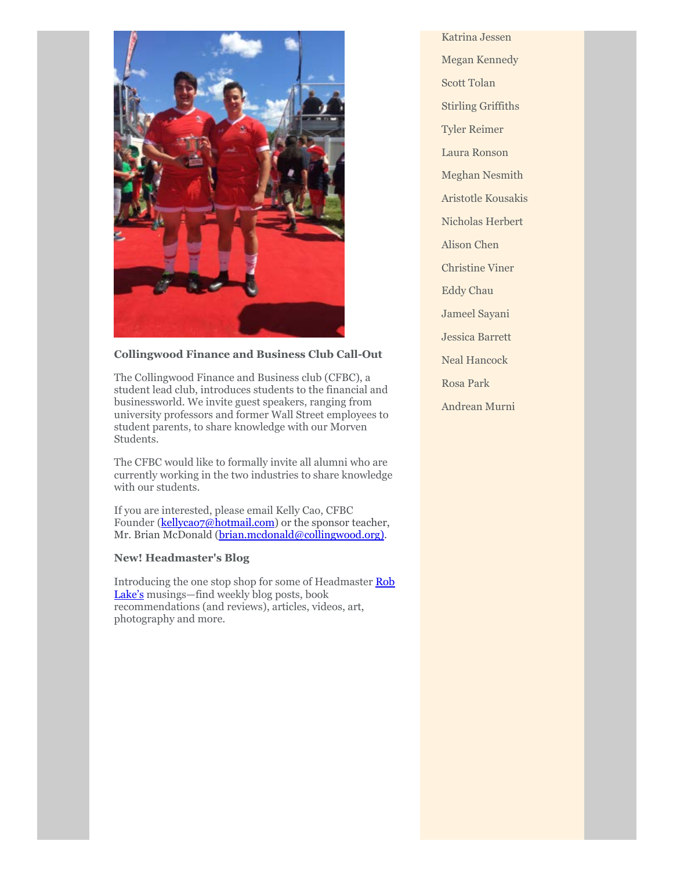

## **Collingwood Finance and Business Club Call-Out**

The Collingwood Finance and Business club (CFBC), a student lead club, introduces students to the financial and businessworld. We invite guest speakers, ranging from university professors and former Wall Street employees to student parents, to share knowledge with our Morven Students.

The CFBC would like to formally invite all alumni who are currently working in the two industries to share knowledge with our students.

If you are interested, please email Kelly Cao, CFBC Founder ([kellycao7@hotmail.com\)](https://webmail.exchange.telus.com/owa/redir.aspx?C=qYbCUE62vZx2Z4ZppavnVUjVBAk33CvldaRsjXTvB2_rODaDWEDVCA..&URL=mailto%3akellycao7%40hotmail.com) or the sponsor teacher, Mr. Brian McDonald [\(brian.mcdonald@collingwood.org\)](mailto:brian.mcdonald@collingwood.org).

#### **New! Headmaster's Blog**

[Introducing the one stop shop for some of Headmaster Rob](https://www.collingwood.org/lakes-take) Lake's musings—find weekly blog posts, book recommendations (and reviews), articles, videos, art, photography and more.

Katrina Jessen Megan Kennedy Scott Tolan Stirling Griffiths Tyler Reimer Laura Ronson Meghan Nesmith Aristotle Kousakis Nicholas Herbert Alison Chen Christine Viner Eddy Chau Jameel Sayani Jessica Barrett Neal Hancock Rosa Park Andrean Murni